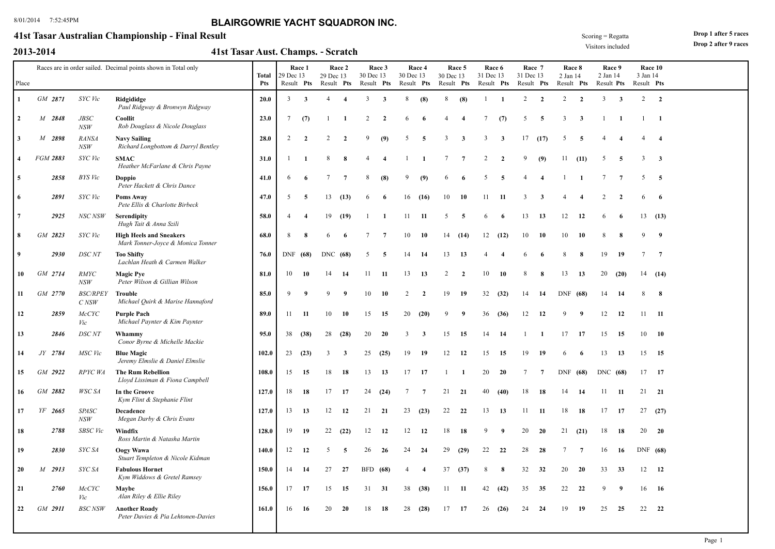### **41st Tasar Australian Championship - Final Result**

|  | 2013-2014 |
|--|-----------|
|  |           |

**2013-2014 41st Tasar Aust. Champs. Scratch** -

Visitors included

**Drop 1 after 5 races**

| Drop 2 after 9 races |  |  |  |  |
|----------------------|--|--|--|--|
|----------------------|--|--|--|--|

|                |          |                              | Races are in order sailed. Decimal points shown in Total only       | <b>Total</b> | 29 Dec 13  | Race 1                  | 29 Dec 13      | Race 2         | 30 Dec 13  | Race 3                  | 30 Dec 13      | Race 4         | 30 Dec 13      | Race 5         | Race 6<br>31 Dec 13 |                | Race 7<br>31 Dec 13 |                 | Race 8<br>2 Jan 14 |                | Race 9<br>2 Jan 14 |                         | 3 Jan 14        | Race 10                 |  |
|----------------|----------|------------------------------|---------------------------------------------------------------------|--------------|------------|-------------------------|----------------|----------------|------------|-------------------------|----------------|----------------|----------------|----------------|---------------------|----------------|---------------------|-----------------|--------------------|----------------|--------------------|-------------------------|-----------------|-------------------------|--|
| Place          |          |                              |                                                                     | <b>Pts</b>   | Result Pts |                         | Result Pts     |                | Result Pts |                         |                | Result Pts     |                | Result Pts     | Result Pts          |                | Result Pts          |                 | Result Pts         |                | Result Pts         |                         | Result Pts      |                         |  |
| 1              | GM 2871  | SYC Vic                      | Ridgididge<br>Paul Ridgway & Bronwyn Ridgway                        | 20.0         | 3          | $\overline{\mathbf{3}}$ | $\overline{4}$ | $\overline{4}$ | 3          | $\overline{\mathbf{3}}$ | 8              | (8)            | 8              | (8)            |                     | - 1            | $\overline{2}$      | $\overline{2}$  | 2                  | $\overline{2}$ | 3                  | $\overline{\mathbf{3}}$ |                 | $2 \quad 2$             |  |
| $\overline{2}$ | M 2848   | JBSC<br>NSW                  | Coollit<br>Rob Douglass & Nicole Douglass                           | 23.0         | 7          | (7)                     |                | -1             | 2          | $\mathbf{2}$            |                | -6             |                |                |                     | (7)            | -5                  | -5              | 3                  | $\mathbf{3}$   |                    | -1                      |                 | $\blacksquare$          |  |
| 3              | M 2898   | <b>RANSA</b><br>NSW          | <b>Navy Sailing</b><br>Richard Longbottom & Darryl Bentley          | 28.0         | 2          | $\overline{2}$          | $\overline{2}$ | $\overline{2}$ | 9          | (9)                     | 5              | -5             | 3              | 3              | 3                   | $\mathbf{3}$   | 17                  | (17)            | -5                 | -5             |                    | 4                       |                 | $\overline{4}$          |  |
| $\overline{4}$ | FGM 2883 | SYC Vic                      | <b>SMAC</b><br>Heather McFarlane & Chris Payne                      | 31.0         |            |                         | 8              | 8              |            |                         |                |                |                | 7              | $\overline{c}$      | $\overline{2}$ | 9                   | (9)             | 11                 | (11)           | 5                  | -5                      | 3               | $\overline{\mathbf{3}}$ |  |
| 5              | 2858     | <b>BYS</b> Vic               | Doppio<br>Peter Hackett & Chris Dance                               | 41.0         | 6          | -6                      |                | $\overline{7}$ |            | (8)                     | q              | (9)            |                |                |                     | -5             |                     |                 |                    |                |                    | $\overline{7}$          | 5               | $\overline{5}$          |  |
| 6              | 2891     | SYC Vic                      | Poms Away<br>Pete Ellis & Charlotte Birbeck                         | 47.0         | .5         | -5                      | 13             | (13)           | 6          | -6                      | 16             | (16)           | 10             | 10             | 11                  | 11             | 3                   | 3               |                    |                |                    | $\overline{2}$          |                 | 6                       |  |
|                | 2925     | NSC NSW                      | Serendipity<br>Hugh Tait & Anna Szili                               | 58.0         | 4          | $\overline{4}$          | 19             | (19)           |            | $\mathbf{1}$            | 11             | -11            | 5              | 5              | 6                   | -6             | 13                  | 13              | 12                 | 12             |                    |                         |                 | 13(13)                  |  |
| 8              | GM 2823  | SYC Vic                      | <b>High Heels and Sneakers</b><br>Mark Tonner-Joyce & Monica Tonner | 68.0         | 8          | -8                      | 6              | -6             | 7          | $\overline{7}$          | 10             | 10             |                | 14(14)         |                     | 12(12)         | 10                  | <b>10</b>       | 10                 | 10             | 8                  | 8                       | 9               | - 9                     |  |
| 9              | 2930     | DSC NT                       | <b>Too Shifty</b><br>Lachlan Heath & Carmen Walker                  | 76.0         |            | DNF (68)                | DNC (68)       |                | 5          | -5                      | 14             | -14            | 13             | 13             |                     | -4             |                     |                 |                    | -8             | 19                 | 19                      | $7\phantom{.0}$ | $\overline{7}$          |  |
| 10             | GM 2714  | <b>RMYC</b><br>NSW           | <b>Magic Pye</b><br>Peter Wilson & Gillian Wilson                   | 81.0         | 10         | 10                      | 14             | 14             | 11         | 11                      | 13             | 13             | $\overline{2}$ | $\overline{2}$ | 10                  | 10             | 8                   | 8               | 13                 | 13             | 20                 | (20)                    |                 | 14(14)                  |  |
| 11             | GM 2770  | <b>BSC/RPEY</b><br>$C$ $NSW$ | Trouble<br>Michael Quirk & Marise Hannaford                         | 85.0         | 9          | - 9                     | 9              | - 9            | 10         | 10                      | 2              | $\overline{2}$ | 19             | 19             | 32                  | (32)           | 14                  | -14             | DNF                | (68)           | 14                 | 14                      | 8               | 8                       |  |
| 12             | 2859     | McCYC<br>Vic                 | <b>Purple Pach</b><br>Michael Paynter & Kim Paynter                 | 89.0         | 11         | -11                     | 10             | 10             | 15         | 15                      | 20             | (20)           | $\mathbf{Q}$   | - 9            | 36                  | (36)           | 12                  | 12              | 9                  | 9              | 12                 | 12                      |                 | $11 - 11$               |  |
| 13             | 2846     | <b>DSC NT</b>                | Whammy<br>Conor Byrne & Michelle Mackie                             | 95.0         | 38         | (38)                    | 28             | (28)           | 20         | <b>20</b>               | 3              | $\mathbf{3}$   | 15             | 15             | 14                  | - 14           |                     | $\mathbf{1}$    | 17                 | -17            | 15                 | 15                      |                 | $10 \t 10$              |  |
| 14             | JY 2784  | MSC Vic                      | <b>Blue Magic</b><br>Jeremy Elmslie & Daniel Elmslie                | 102.0        |            | 23(23)                  | 3              | $\mathbf{3}$   | 25         | (25)                    | 19             | - 19           | 12             | 12             | 15                  | 15             | 19                  | - 19            | 6                  | -6             | 13                 | 13                      |                 | 15 15                   |  |
| 15             | GM 2922  | RPYC WA                      | <b>The Rum Rebellion</b><br>Lloyd Lissiman & Fiona Campbell         | 108.0        | 15         | 15                      | 18             | 18             | 13         | 13                      | 17             | 17             |                | -1             | 20                  | <b>20</b>      | 7                   | $7\phantom{.0}$ | DNF                | (68)           | DNC (68)           |                         |                 | 17 17                   |  |
| 16             | GM 2882  | WSC SA                       | In the Groove<br>Kym Flint & Stephanie Flint                        | 127.0        | 18         | 18                      | 17             | 17             | 24         | (24)                    | 7              | $\overline{7}$ | 21             | - 21           | 40                  | (40)           | 18                  | -18             | 14                 | 14             | 11                 | -11                     | 21 21           |                         |  |
| 17             | YF 2665  | <b>SPASC</b><br>NSW          | Decadence<br>Megan Darby & Chris Evans                              | 127.0        | 13         | 13                      | 12             | 12             | 21         | 21                      | 23             | (23)           | 22             | 22             | 13                  | 13             | 11                  | - 11            | 18                 | 18             | 17                 | 17                      | 27              | (27)                    |  |
| 18             | 2788     | <b>SBSC</b> Vic              | Windfix<br>Ross Martin & Natasha Martin                             | 128.0        | 19         | 19                      | 22             | (22)           | 12         | 12                      | 12             | 12             | 18             | 18             | 9                   | 9              | 20                  | 20              | 21                 | (21)           | 18                 | 18                      | 20              | 20                      |  |
| 19             | 2830     | SYC SA                       | Oogy Wawa<br>Stuart Templeton & Nicole Kidman                       | 140.0        | 12         | 12                      | 5              | -5             | 26         | -26                     | 24             | 24             | 29             | (29)           | 22                  | 22             | 28                  | 28              |                    | $\overline{7}$ | 16                 | 16                      | DNF (68)        |                         |  |
| 20             | M 2913   | SYC SA                       | <b>Fabulous Hornet</b><br>Kym Widdows & Gretel Ramsey               | 150.0        | 14         | 14                      | 27             | 27             | BFD        | (68)                    | $\overline{4}$ | $\overline{4}$ | 37             | (37)           | 8                   | -8             | 32                  | 32              | 20                 | 20             | 33                 | 33                      |                 | $12 \qquad 12$          |  |
| 21             | 2760     | <b>McCYC</b><br>Vic          | Maybe<br>Alan Riley & Ellie Riley                                   | 156.0        |            | $17 \quad 17$           | 15             | 15             | 31 31      |                         |                | 38 (38)        | 11             | - 11           | 42                  | (42)           | 35                  | 35              | 22                 | 22             |                    | - 9                     |                 | 16 16                   |  |
| 22             | GM 2911  | <b>BSC NSW</b>               | <b>Another Roady</b><br>Peter Davies & Pia Lehtonen-Davies          | 161.0        | 16         | -16                     | 20             | 20             | 18         | 18                      | 28             | (28)           | 17             | 17             | 26                  | (26)           | 24                  | 24              | 19                 | 19             | 25                 | 25                      | 22              | - 22                    |  |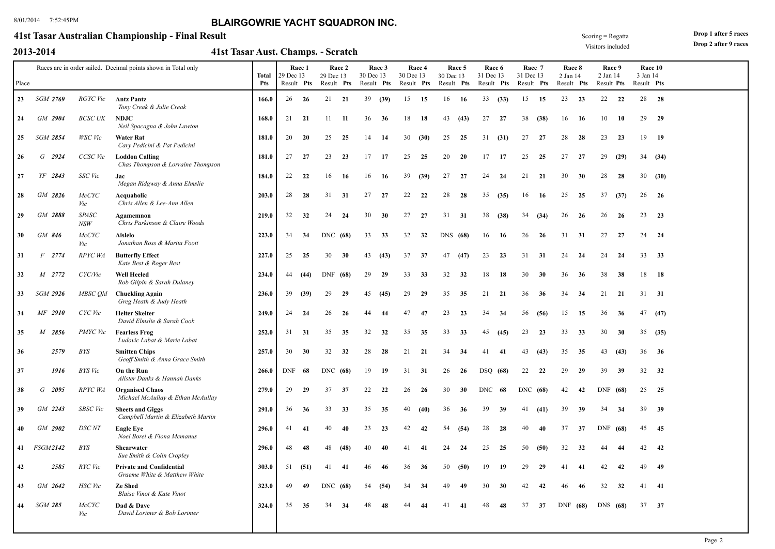### **41st Tasar Australian Championship - Final Result**

|  | 2013-2014 |  |
|--|-----------|--|
|  |           |  |

**2013-2014 41st Tasar Aust. Champs. Scratch** -

Visitors included

**Drop 1 after 5 races Drop 2 after 9 races**

| Place |                          |                     | Races are in order sailed. Decimal points shown in Total only          | Total<br>Pts | 29 Dec 13<br>Result Pts | Race 1 | 29 Dec 13<br>Result Pts | Race 2 | Race 3<br>30 Dec 13<br>Result Pts |      | 30 Dec 13<br>Result Pts | Race 4 | 30 Dec 13<br>Result Pts | Race 5 | 31 Dec 13 | Race 6<br>Result Pts | Race 7<br>31 Dec 13<br>Result Pts |      | Race 8<br>2 Jan 14<br>Result Pts |     | Race 9<br>2 Jan 14<br>Result Pts |      | 3 Jan 14<br>Result Pts | Race 10 |  |
|-------|--------------------------|---------------------|------------------------------------------------------------------------|--------------|-------------------------|--------|-------------------------|--------|-----------------------------------|------|-------------------------|--------|-------------------------|--------|-----------|----------------------|-----------------------------------|------|----------------------------------|-----|----------------------------------|------|------------------------|---------|--|
| 23    | <b>SGM 2769</b>          | RGYC Vic            | <b>Antz Pantz</b>                                                      | 166.0        | 26                      | - 26   | 21 21                   |        | 39                                | (39) | 15                      | 15     | 16 16                   |        | 33        | (33)                 | 15                                | 15   | 23                               | 23  | 22                               | 22   |                        | 28 28   |  |
| 24    | GM 2904                  | BCSC UK             | Tony Creak & Julie Creak<br><b>NDJC</b><br>Neil Spacagna & John Lawton | 168.0        | 21 21                   |        | 11                      | -11    | 36                                | 36   | 18                      | 18     | 43                      | (43)   | 27        | 27                   | 38                                | (38) | 16                               | -16 | 10                               | - 10 |                        | 29 29   |  |
| 25    | <b>SGM 2854</b>          | WSC Vic             | <b>Water Rat</b><br>Cary Pedicini & Pat Pedicini                       | 181.0        | 20                      | 20     | 25                      | 25     | 14                                | 14   | 30                      | (30)   | 25                      | 25     | 31        | (31)                 | 27                                | 27   | 28                               | 28  | 23                               | 23   |                        | 19 19   |  |
| 26    | G<br>2924                | CCSC Vic            | <b>Loddon Calling</b><br>Chas Thompson & Lorraine Thompson             | 181.0        | 27                      | 27     | 23                      | 23     | 17                                | 17   | 25                      | 25     | 20                      | -20    | 17        | -17                  | 25                                | 25   | 27                               | -27 | 29                               | (29) |                        | 34(34)  |  |
| 27    | YF 2843                  | SSC Vic             | Jac<br>Megan Ridgway & Anna Elmslie                                    | 184.0        | 22                      | 22     | 16                      | -16    | 16                                | -16  | 39                      | (39)   | 27                      | 27     | 24        | 24                   | 21                                | 21   | 30                               | 30  | 28                               | 28   |                        | 30(30)  |  |
| 28    | GM 2826                  | <b>McCYC</b><br>Vic | Acquaholic<br>Chris Allen & Lee-Ann Allen                              | 203.0        | 28                      | 28     | 31                      | 31     | 27                                | 27   | 22                      | 22     | 28                      | 28     | 35        | (35)                 | 16                                | 16   | 25                               | 25  | 37                               | (37) | 26                     | - 26    |  |
| 29    | GM 2888                  | <b>SPASC</b><br>NSW | Agamemnon<br>Chris Parkinson & Claire Woods                            | 219.0        | 32                      | 32     | 24                      | 24     | 30                                | 30   | 27                      | 27     | 31                      | 31     | 38        | (38)                 | 34                                | (34) | 26                               | 26  | 26                               | 26   | 23                     | 23      |  |
| 30    | GM 846                   | McCYC<br>Vic        | <b>Aislelo</b><br>Jonathan Ross & Marita Foott                         | 223.0        | 34                      | 34     | DNC (68)                |        | 33                                | 33   | 32                      | 32     | DNS (68)                |        | 16        | -16                  | 26                                | 26   | 31                               | 31  | 27                               | 27   | 24                     | - 24    |  |
| 31    | $F$ 2774                 | RPYC WA             | <b>Butterfly Effect</b><br>Kate Best & Roger Best                      | 227.0        | 25                      | 25     | 30                      | 30     | 43                                | (43) | 37                      | 37     | 47                      | (47)   | 23        | 23                   | 31                                | 31   | 24                               | 24  | 24                               | 24   | 33                     | 33      |  |
| 32    | M 2772                   | CYC/Vic             | <b>Well Heeled</b><br>Rob Gilpin & Sarah Dulaney                       | 234.0        | 44                      | (44)   | DNF (68)                |        | 29                                | 29   | 33                      | 33     | 32                      | 32     | 18        | 18                   | 30                                | 30   | 36                               | 36  | 38                               | 38   | 18                     | - 18    |  |
| 33    | <b>SGM 2926</b>          | MBSC Old            | <b>Chuckling Again</b><br>Greg Heath & Judy Heath                      | 236.0        | 39                      | (39)   | 29                      | 29     | 45                                | (45) | 29                      | 29     | 35                      | 35     | 21        | 21                   | 36                                | 36   | 34                               | -34 | 21                               | - 21 | 31                     | 31      |  |
| 34    | MF 2910                  | CYC Vic             | <b>Helter Skelter</b><br>David Elmslie & Sarah Cook                    | 249.0        | 24                      | 24     | 26                      | 26     | 44                                | 44   | 47                      | 47     | 23                      | 23     | 34        | - 34                 | 56                                | (56) | 15                               | 15  | 36                               | 36   | 47                     | (47)    |  |
| 35    | $\boldsymbol{M}$<br>2856 | PMYC Vic            | <b>Fearless Frog</b><br>Ludovic Labat & Marie Labat                    | 252.0        | 31                      | 31     | 35                      | 35     | 32                                | 32   | 35                      | 35     | 33                      | 33     | 45        | (45)                 | 23                                | 23   | 33                               | 33  | 30                               | 30   | 35                     | (35)    |  |
| 36    | 2579                     | BYS                 | <b>Smitten Chips</b><br>Geoff Smith & Anna Grace Smith                 | 257.0        | 30                      | 30     | 32                      | 32     | 28                                | 28   | 21                      | 21     | 34                      | 34     | 41        | 41                   | 43                                | (43) | 35                               | 35  | 43                               | (43) | 36                     | - 36    |  |
| 37    | 1916                     | <b>BYS</b> Vic      | On the Run<br>Alister Danks & Hannah Danks                             | 266.0        | DNF                     | 68     | DNC (68)                |        | 19                                | -19  | 31                      | 31     | 26                      | 26     |           | DSQ (68)             | 22                                | 22   | 29                               | 29  | 39                               | 39   | 32                     | 32      |  |
| 38    | $G$ 2095                 | RPYC WA             | <b>Organised Chaos</b><br>Michael McAullay & Ethan McAullay            | 279.0        | 29                      | 29     | 37                      | 37     | 22                                | 22   | 26                      | 26     | 30                      | 30     | DNC       | 68                   | DNC (68)                          |      | 42                               | 42  | DNF $(68)$                       |      |                        | 25 25   |  |
| 39    | GM 2243                  | <b>SBSC</b> Vic     | <b>Sheets and Giggs</b><br>Campbell Martin & Elizabeth Martin          | 291.0        | 36                      | 36     | 33                      | 33     | 35                                | 35   | 40                      | (40)   | 36                      | 36     | 39        | 39                   | 41                                | (41) | 39                               | 39  | 34                               | 34   | 39                     | 39      |  |
| 40    | GM 2902                  | <b>DSC</b> NT       | <b>Eagle Eve</b><br>Noel Borel & Fiona Mcmanus                         | 296.0        | 41                      | -41    | 40                      | 40     | 23                                | 23   | 42                      | 42     | 54                      | (54)   | 28        | 28                   | 40                                | 40   | 37                               | 37  | DNF $(68)$                       |      | 45                     | 45      |  |
| 41    | <b>FSGM2142</b>          | <b>BYS</b>          | <b>Shearwater</b><br>Sue Smith & Colin Cropley                         | 296.0        | 48                      | 48     | 48                      | (48)   | 40                                | 40   | 41                      | 41     | 24                      | 24     | 25        | 25                   | 50                                | (50) | 32                               | 32  | 44                               | -44  | 42                     | 42      |  |
| 42    | 2585                     | RYC Vic             | <b>Private and Confidential</b><br>Graeme White & Matthew White        | 303.0        | 51                      | (51)   | 41                      | 41     | 46                                | 46   | 36                      | 36     | 50                      | (50)   | 19        | -19                  | 29                                | 29   | 41                               | -41 | 42                               | 42   | 49                     | 49      |  |
| 43    | GM 2642                  | <b>HSC</b> Vic      | Ze Shed<br>Blaise Vinot & Kate Vinot                                   | 323.0        | 49                      | 49     | DNC (68)                |        | -54                               | (54) | 34                      | 34     | 49                      | -49    | 30        | 30                   | 42                                | 42   | 46                               | 46  | 32                               | 32   | 41                     | -41     |  |
| 44    | <b>SGM 285</b>           | <b>McCYC</b><br>Vic | Dad & Dave<br>David Lorimer & Bob Lorimer                              | 324.0        | 35                      | 35     | 34                      | -34    | 48                                | 48   |                         | 44     | 41                      | -41    | 48        | 48                   | 37                                | 37   | DNF (68)                         |     | DNS (68)                         |      | 37                     | 37      |  |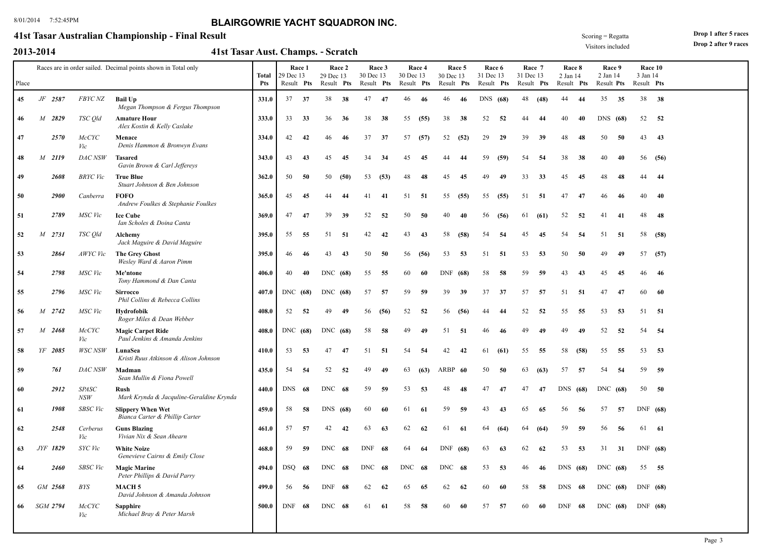### **41st Tasar Australian Championship - Final Result**

|  | 2013-2014 |  |
|--|-----------|--|
|  |           |  |

**2013-2014 41st Tasar Aust. Champs. Scratch** -

Visitors included Scoring = Regatta **Drop 1 after 5 races**

|       |   |                 |                     | Races are in order sailed. Decimal points shown in Total only | <b>Total</b> | 29 Dec 13  | Race 1 | 29 Dec 13  | Race 2 | 30 Dec 13  | Race 3 | 30 Dec 13  | Race 4 | 30 Dec 13  | Race 5 | 31 Dec 13  | Race 6 | Race 7<br>31 Dec 13 |      | Race 8<br>2 Jan 14 |      | Race 9<br>2 Jan 14 |     | Race 10<br>3 Jan 14 |      |  |
|-------|---|-----------------|---------------------|---------------------------------------------------------------|--------------|------------|--------|------------|--------|------------|--------|------------|--------|------------|--------|------------|--------|---------------------|------|--------------------|------|--------------------|-----|---------------------|------|--|
| Place |   |                 |                     |                                                               | Pts          | Result Pts |        | Result Pts |        | Result Pts |        | Result Pts |        | Result Pts |        | Result Pts |        | Result Pts          |      | Result Pts         |      | Result Pts         |     | Result Pts          |      |  |
| 45    |   | JF 2587         | <i>FBYC NZ</i>      | <b>Bail Up</b><br>Megan Thompson & Fergus Thompson            | 331.0        | 37         | 37     | 38         | 38     | 47         | -47    | 46         | -46    | 46         | -46    | DNS (68)   |        | 48                  | (48) | 44                 | -44  | 35                 | 35  | 38 38               |      |  |
| 46    |   | M 2829          | TSC Qld             | <b>Amature Hour</b><br>Alex Kostin & Kelly Caslake            | 333.0        | 33         | 33     | 36         | 36     | 38         | 38     | 55         | (55)   | 38         | 38     | 52         | 52     | 44                  | 44   | 40                 | 40   | DNS (68)           |     | 52                  | 52   |  |
| 47    |   | 2570            | <b>McCYC</b><br>Vic | Menace<br>Denis Hammon & Bronwyn Evans                        | 334.0        | 42         | 42     | 46         | 46     | 37         | 37     | 57         | (57)   | 52         | (52)   | 29         | 29     | 39                  | 39   | 48                 | 48   | 50                 | 50  | 43                  | 43   |  |
| 48    |   | M 2119          | DAC NSW             | <b>Tasared</b><br>Gavin Brown & Carl Jeffereys                | 343.0        | 43         | 43     | 45         | 45     | 34         | 34     | 45         | 45     | 44         | 44     | 59         | (59)   | 54                  | 54   | 38                 | 38   | 40                 | 40  | 56                  | (56) |  |
| 49    |   | 2608            | BRYC Vic            | <b>True Blue</b><br>Stuart Johnson & Ben Johnson              | 362.0        | 50         | 50     | 50         | (50)   | 53         | (53)   | 48         | 48     | 45         | 45     | 49         | 49     | 33                  | 33   | 45                 | 45   | 48                 | 48  | 44                  | 44   |  |
| 50    |   | <b>2900</b>     | Canberra            | <b>FOFO</b><br>Andrew Foulkes & Stephanie Foulkes             | 365.0        | 45         | 45     | 44         | 44     | 41         | 41     | 51         | -51    | 55         | (55)   | 55         | (55)   | 51                  | -51  | 47                 | 47   | 46                 | 46  | 40                  | 40   |  |
| 51    |   | 2789            | MSC Vic             | <b>Ice Cube</b><br>Ian Scholes & Doina Canta                  | 369.0        | 47         | 47     | 39         | 39     | 52         | 52     | 50         | 50     | 40         | 40     | 56         | (56)   | 61                  | (61) | 52                 | 52   | 41                 | 41  | 48                  | 48   |  |
| 52    | M | 2731            | TSC Qld             | Alchemy<br>Jack Maguire & David Maguire                       | 395.0        | 55         | 55     | 51         | -51    | 42         | 42     | 43         | 43     | 58         | (58)   | 54         | 54     | 45                  | 45   | 54                 | 54   | 51                 | -51 | 58                  | (58) |  |
| 53    |   | 2864            | AWYC Vic            | <b>The Grey Ghost</b><br>Wesley Ward & Aaron Pimm             | 395.0        | 46         | 46     | 43         | 43     | 50         | -50    | 56         | (56)   | 53         | 53     | 51         | -51    | 53                  | 53   | 50                 | 50   | 49                 | 49  | 57                  | (57) |  |
| 54    |   | 2798            | MSC Vic             | Me'ntone<br>Tony Hammond & Dan Canta                          | 406.0        | 40         | 40     | DNC (68)   |        | 55         | 55     | 60         | 60     | DNF (68)   |        | 58         | 58     | 59                  | 59   | 43                 | 43   | 45                 | 45  | 46                  | -46  |  |
| 55    |   | 2796            | MSC Vic             | <b>Sirrocco</b><br>Phil Collins & Rebecca Collins             | 407.0        | DNC (68)   |        | DNC (68)   |        | 57         | 57     | 59         | 59     | 39         | 39     | 37         | 37     | 57                  | 57   | 51                 | 51   | 47                 | 47  | 60                  | -60  |  |
| 56    |   | M 2742          | MSC Vic             | <b>Hydrofobik</b><br>Roger Miles & Dean Webber                | 408.0        | 52         | 52     | 49         | 49     | 56         | (56)   | 52         | 52     | 56         | (56)   | 44         | 44     | 52                  | 52   | 55                 | 55   | 53                 | 53  | 51                  | - 51 |  |
| 57    |   | M 2468          | <b>McCYC</b><br>Vic | <b>Magic Carpet Ride</b><br>Paul Jenkins & Amanda Jenkins     | 408.0        | DNC (68)   |        | DNC (68)   |        | 58         | 58     | 49         | 49     | 51         | 51     | 46         | 46     | 49                  | 49   | 49                 | 49   | 52                 | 52  | 54                  | - 54 |  |
| 58    |   | YF 2085         | WSC NSW             | LunaSea<br>Kristi Ruus Atkinson & Alison Johnson              | 410.0        | 53         | -53    | 47         | 47     | 51         | -51    | 54         | 54     | 42         | 42     | 61         | (61)   | 55                  | -55  | 58                 | (58) | 55                 | 55  | 53                  | 53   |  |
| 59    |   | 761             | DAC NSW             | Madman<br>Sean Mullin & Fiona Powell                          | 435.0        | 54         | 54     | 52         | 52     | 49         | 49     | 63         | (63)   | ARBP 60    |        | 50         | 50     | 63                  | (63) | 57                 | 57   | 54                 | 54  | 59                  | 59   |  |
| 60    |   | 2912            | <b>SPASC</b><br>NSW | Rush<br>Mark Krynda & Jacquline-Geraldine Krynda              | 440.0        | DNS 68     |        | DNC 68     |        | 59         | 59     | 53         | 53     | 48         | 48     | 47         | 47     | 47                  | 47   | DNS (68)           |      | DNC (68)           |     | 50 50               |      |  |
| 61    |   | 1908            | <b>SBSC</b> Vic     | <b>Slippery When Wet</b><br>Bianca Carter & Phillip Carter    | 459.0        | 58         | 58     | <b>DNS</b> | (68)   | 60         | 60     | 61         | -61    | 59         | 59     | 43         | 43     | 65                  | 65   | 56                 | 56   | 57                 | 57  | DNF $(68)$          |      |  |
| 62    |   | 2548            | Cerberus<br>Vic     | <b>Guns Blazing</b><br>Vivian Nix & Sean Ahearn               | 461.0        | 57         | 57     | 42         | 42     | 63         | 63     | 62         | 62     | 61         | -61    | 64         | (64)   | 64                  | (64) | 59                 | 59   | 56                 | 56  | 61                  | - 61 |  |
| 63    |   | JYF 1829        | SYC Vic             | <b>White Noize</b><br>Genevieve Cairns & Emily Close          | 468.0        | 59         | 59     | DNC 68     |        | DNF        | - 68   | 64         | -64    | DNF (68)   |        | 63         | 63     | 62                  | 62   | 53                 | 53   | 31                 | 31  | DNF $(68)$          |      |  |
| -64   |   | <b>2460</b>     | <b>SBSC</b> Vic     | <b>Magic Marine</b><br>Peter Phillips & David Parry           | 494.0        | DSO        | -68    | DNC 68     |        | DNC        | 68     | <b>DNC</b> | -68    | DNC 68     |        | 53         | 53     | 46                  | 46   | DNS(68)            |      | DNC (68)           |     | 55                  | - 55 |  |
| 65    |   | GM 2568         | <b>BYS</b>          | <b>MACH5</b><br>David Johnson & Amanda Johnson                | 499.0        | 56         | -56    | DNF        | - 68   | 62         | 62     | 65         | 65     | 62         | 62     | 60         | 60     | 58                  | 58   | DNS                | - 68 | DNC (68)           |     | DNF (68)            |      |  |
| 66    |   | <b>SGM 2794</b> | McCYC<br>Vic        | <b>Sapphire</b><br>Michael Bray & Peter Marsh                 | 500.0        | DNF        | 68     | DNC 68     |        | 61         | 61     | 58         | 58     | 60         | 60     | 57         | 57     | 60                  | 60   | DNF 68             |      | DNC (68)           |     | DNF $(68)$          |      |  |